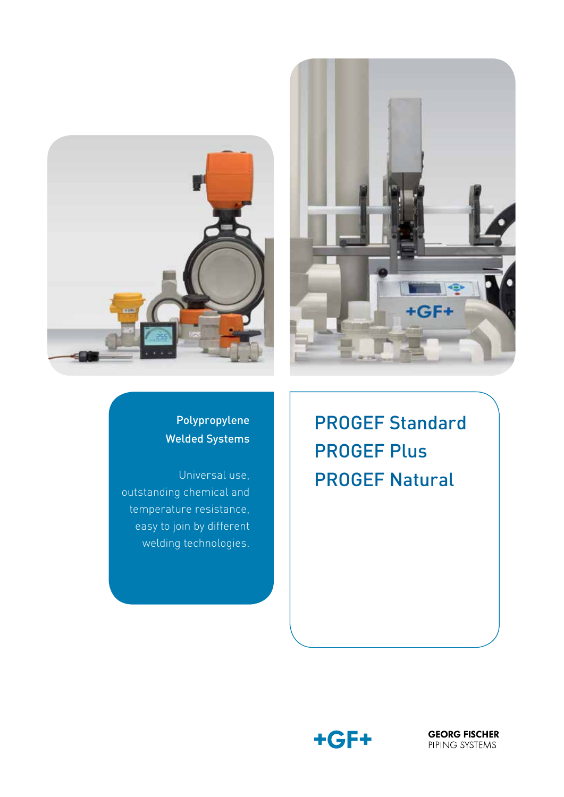



### Polypropylene Welded Systems

Universal use, outstanding chemical and temperature resistance, easy to join by different welding technologies.

PROGEF Standard PROGEF Plus PROGEF Natural



**GEORG FISCHER** PIPING SYSTEMS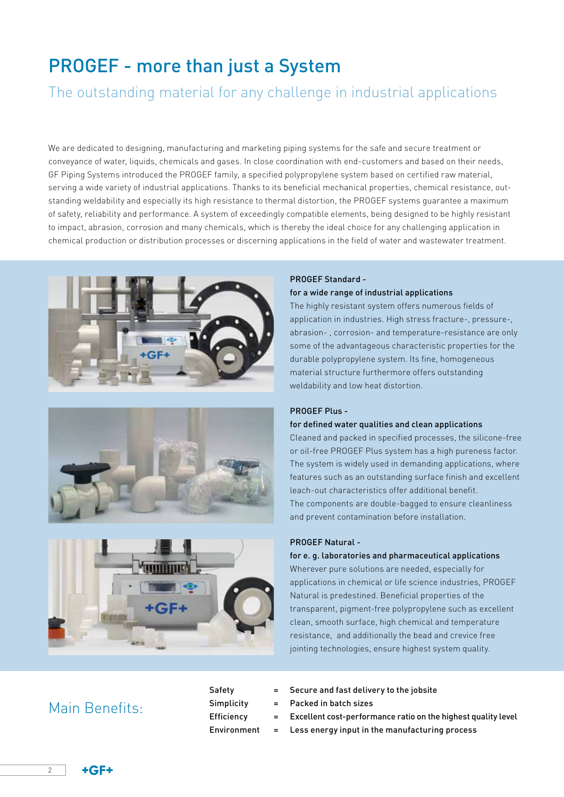# PROGEF - more than just a System

The outstanding material for any challenge in industrial applications

We are dedicated to designing, manufacturing and marketing piping systems for the safe and secure treatment or conveyance of water, liquids, chemicals and gases. In close coordination with end-customers and based on their needs, GF Piping Systems introduced the PROGEF family, a specified polypropylene system based on certified raw material, serving a wide variety of industrial applications. Thanks to its beneficial mechanical properties, chemical resistance, outstanding weldability and especially its high resistance to thermal distortion, the PROGEF systems guarantee a maximum of safety, reliability and performance. A system of exceedingly compatible elements, being designed to be highly resistant to impact, abrasion, corrosion and many chemicals, which is thereby the ideal choice for any challenging application in chemical production or distribution processes or discerning applications in the field of water and wastewater treatment.







#### PROGEF Standard -

### for a wide range of industrial applications

The highly resistant system offers numerous fields of application in industries. High stress fracture-, pressure-, abrasion- , corrosion- and temperature-resistance are only some of the advantageous characteristic properties for the durable polypropylene system. Its fine, homogeneous material structure furthermore offers outstanding weldability and low heat distortion.

### PROGEF Plus -

### for defined water qualities and clean applications

Cleaned and packed in specified processes, the silicone-free or oil-free PROGEF Plus system has a high pureness factor. The system is widely used in demanding applications, where features such as an outstanding surface finish and excellent leach-out characteristics offer additional benefit. The components are double-bagged to ensure cleanliness and prevent contamination before installation.

#### PROGEF Natural -

### for e. g. laboratories and pharmaceutical applications

Wherever pure solutions are needed, especially for applications in chemical or life science industries, PROGEF Natural is predestined. Beneficial properties of the transparent, pigment-free polypropylene such as excellent clean, smooth surface, high chemical and temperature resistance, and additionally the bead and crevice free jointing technologies, ensure highest system quality.

### Main Benefits:

| Safety      |
|-------------|
| Simplicity  |
| Efficiency  |
| Environment |

- Secure and fast delivery to the jobsite
- Packed in batch sizes
- Excellent cost-performance ratio on the highest quality level
- Less energy input in the manufacturing process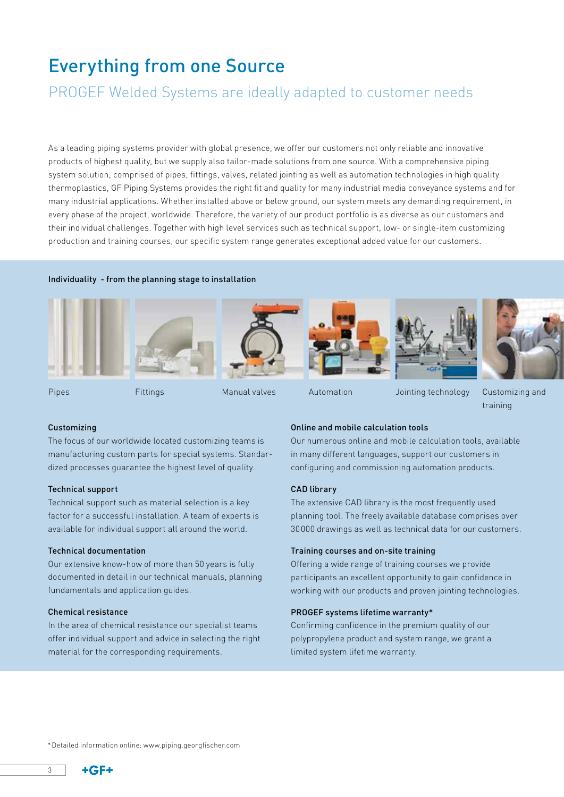# Everything from one Source

## PROGEF Welded Systems are ideally adapted to customer needs

As a leading piping systems provider with global presence, we offer our customers not only reliable and innovative products of highest quality, but we supply also tailor-made solutions from one source. With a comprehensive piping system solution, comprised of pipes, fittings, valves, related jointing as well as automation technologies in high quality thermoplastics, GF Piping Systems provides the right fit and quality for many industrial media conveyance systems and for many industrial applications. Whether installed above or below ground, our system meets any demanding requirement, in every phase of the project, worldwide. Therefore, the variety of our product portfolio is as diverse as our customers and their individual challenges. Together with high level services such as technical support, low- or single-item customizing production and training courses, our specific system range generates exceptional added value for our customers.

### Individuality - from the planning stage to installation













Pipes Fittings Manual valves Automation Jointing technology

Customizing and training

### Customizing

The focus of our worldwide located customizing teams is manufacturing custom parts for special systems. Standardized processes guarantee the highest level of quality.

### Technical support

Technical support such as material selection is a key factor for a successful installation. A team of experts is available for individual support all around the world.

### Technical documentation

Our extensive know-how of more than 50 years is fully documented in detail in our technical manuals, planning fundamentals and application guides.

### Chemical resistance

In the area of chemical resistance our specialist teams offer individual support and advice in selecting the right material for the corresponding requirements.

### Online and mobile calculation tools

Our numerous online and mobile calculation tools, available in many different languages, support our customers in configuring and commissioning automation products.

#### CAD library

The extensive CAD library is the most frequently used planning tool. The freely available database comprises over 30000 drawings as well as technical data for our customers.

### Training courses and on-site training

Offering a wide range of training courses we provide participants an excellent opportunity to gain confidence in working with our products and proven jointing technologies.

#### PROGEF systems lifetime warranty\*

Confirming confidence in the premium quality of our polypropylene product and system range, we grant a limited system lifetime warranty.

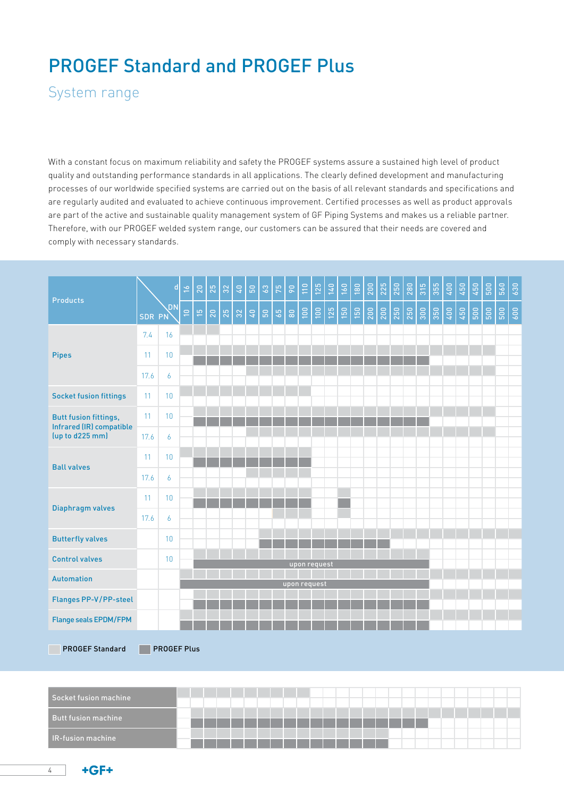# PROGEF Standard and PROGEF Plus

System range

With a constant focus on maximum reliability and safety the PROGEF systems assure a sustained high level of product quality and outstanding performance standards in all applications. The clearly defined development and manufacturing processes of our worldwide specified systems are carried out on the basis of all relevant standards and specifications and are regularly audited and evaluated to achieve continuous improvement. Certified processes as well as product approvals are part of the active and sustainable quality management system of GF Piping Systems and makes us a reliable partner. Therefore, with our PROGEF welded system range, our customers can be assured that their needs are covered and comply with necessary standards.

| <b>Products</b>                                                             |        | ${\bf d}$          | $\frac{6}{16}$ | 20             | 25 | $32\,$ | $40\,$ | $\mathbb{S}^0$ | 3 <sup>o</sup> | $75\,$ | $\mathsf{S}^0$ | 110          | 125 | 140 | $160$ | $180$ | 200 | 225                                                | 250 | 280 | 315 | 355 | 400 | 450            | 450             | 500 | 560 | 630 |
|-----------------------------------------------------------------------------|--------|--------------------|----------------|----------------|----|--------|--------|----------------|----------------|--------|----------------|--------------|-----|-----|-------|-------|-----|----------------------------------------------------|-----|-----|-----|-----|-----|----------------|-----------------|-----|-----|-----|
|                                                                             | SDR PN | <b>DN</b>          | $\Xi$          | $\mathfrak{S}$ | 20 | 25     | 32     | $\sqrt{4}$     | $\mathbb{S}^1$ | $65\,$ | $\rm ^{80}$    | 100          | 100 | 125 | 150   | 150   | 200 | $\begin{array}{c c} 200 \\ \hline 250 \end{array}$ |     | 250 |     |     |     | $\frac{1}{35}$ | $\frac{1}{500}$ | 500 | 500 | 600 |
| <b>Pipes</b>                                                                | 7.4    | 16                 |                |                |    |        |        |                |                |        |                |              |     |     |       |       |     |                                                    |     |     |     |     |     |                |                 |     |     |     |
|                                                                             | 11     | 10                 |                |                |    |        |        |                |                |        |                |              |     |     |       |       |     |                                                    |     |     |     |     |     |                |                 |     |     |     |
|                                                                             | 17.6   | 6                  |                |                |    |        |        |                |                |        |                |              |     |     |       |       |     |                                                    |     |     |     |     |     |                |                 |     |     |     |
| <b>Socket fusion fittings</b>                                               | 11     | 10 <sup>°</sup>    |                |                |    |        |        |                |                |        |                |              |     |     |       |       |     |                                                    |     |     |     |     |     |                |                 |     |     |     |
| <b>Butt fusion fittings,</b><br>Infrared (IR) compatible<br>(up to d225 mm) | 11     | 10                 |                |                |    |        |        |                |                |        |                |              |     |     |       |       |     |                                                    |     |     |     |     |     |                |                 |     |     |     |
|                                                                             | 17.6   | 6                  |                |                |    |        |        |                |                |        |                |              |     |     |       |       |     |                                                    |     |     |     |     |     |                |                 |     |     |     |
|                                                                             | 11     | 10                 |                |                |    |        |        |                |                |        |                |              |     |     |       |       |     |                                                    |     |     |     |     |     |                |                 |     |     |     |
| <b>Ball valves</b>                                                          | 17.6   | 6                  |                |                |    |        |        |                |                |        |                |              |     |     |       |       |     |                                                    |     |     |     |     |     |                |                 |     |     |     |
|                                                                             | 11     | 10                 |                |                |    |        |        |                |                |        |                |              |     |     |       |       |     |                                                    |     |     |     |     |     |                |                 |     |     |     |
| Diaphragm valves                                                            | 17.6   | 6                  |                |                |    |        |        |                |                |        |                |              |     |     |       |       |     |                                                    |     |     |     |     |     |                |                 |     |     |     |
| <b>Butterfly valves</b>                                                     |        | 10                 |                |                |    |        |        |                |                |        |                |              |     |     |       |       |     |                                                    |     |     |     |     |     |                |                 |     |     |     |
| <b>Control valves</b>                                                       |        | 10                 |                |                |    |        |        |                |                |        |                |              |     |     |       |       |     |                                                    |     |     |     |     |     |                |                 |     |     |     |
| <b>Automation</b>                                                           |        |                    |                |                |    |        |        |                |                |        |                | upon request |     |     |       |       |     |                                                    |     |     |     |     |     |                |                 |     |     |     |
| Flanges PP-V/PP-steel                                                       |        |                    |                |                |    |        |        |                |                |        |                | upon request |     |     |       |       |     |                                                    |     |     |     |     |     |                |                 |     |     |     |
| <b>Flange seals EPDM/FPM</b>                                                |        |                    |                |                |    |        |        |                |                |        |                |              |     |     |       |       |     |                                                    |     |     |     |     |     |                |                 |     |     |     |
|                                                                             |        |                    |                |                |    |        |        |                |                |        |                |              |     |     |       |       |     |                                                    |     |     |     |     |     |                |                 |     |     |     |
| <b>PROGEF Standard</b>                                                      |        | <b>PROGEF Plus</b> |                |                |    |        |        |                |                |        |                |              |     |     |       |       |     |                                                    |     |     |     |     |     |                |                 |     |     |     |

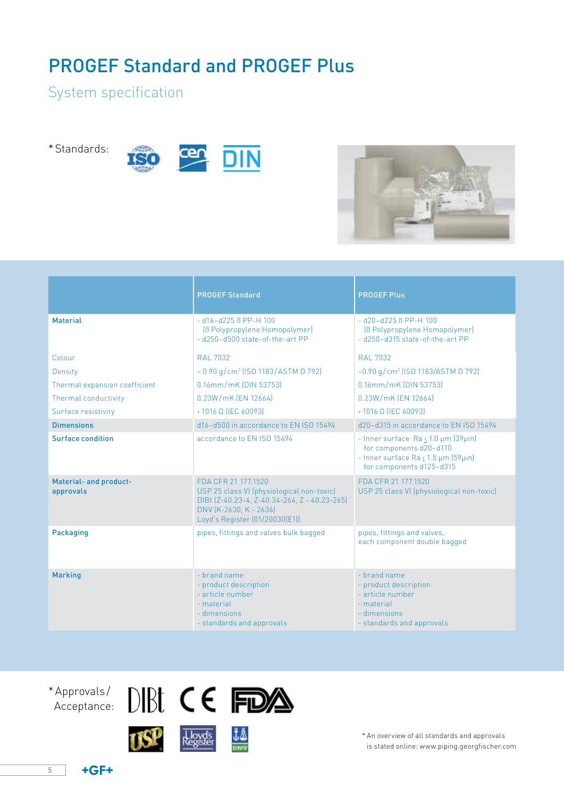# PROGEF Standard and PROGEF Plus

## System specification

\*Standards:





|                                     | <b>PROGEF Standard</b>                                                                                                                                                       | <b>PROGEF Plus</b>                                                                                                                |
|-------------------------------------|------------------------------------------------------------------------------------------------------------------------------------------------------------------------------|-----------------------------------------------------------------------------------------------------------------------------------|
| <b>Material</b>                     | $- d16 - d225 B PP - H 100$<br>[B Polypropylene Homopolymer]<br>- d250-d500 state-of-the-art PP                                                                              | $- d20 - d225 B PP - H 100$<br>[B Polypropylene Homopolymer]<br>- d250-d315 state-of-the-art PP                                   |
| Colour                              | RAI 7032                                                                                                                                                                     | RAI 7032                                                                                                                          |
| Density                             | $\sim 0.90$ g/cm <sup>3</sup> (ISO 1183/ASTM D 792)                                                                                                                          | $-0.90$ g/cm <sup>3</sup> (ISO 1183/ASTM D 792)                                                                                   |
| Thermal expansion coefficient       | 0.16mm/mK (DIN 53753)                                                                                                                                                        | 0.16mm/mK (DIN 53753)                                                                                                             |
| Thermal conductivity                | $0.23W/mK$ (FN 12664)                                                                                                                                                        | 0.23W/mK [FN 12664]                                                                                                               |
| Surface resistivity                 | $\rightarrow$ 1016 Q (IEC 60093)                                                                                                                                             | $\rightarrow$ 1016 Q (IEC 60093)                                                                                                  |
| <b>Dimensions</b>                   | d16-d500 in accordance to FN ISO 15494                                                                                                                                       | d20-d315 in accordance to FN ISO 15494                                                                                            |
| Surface condition                   | accordance to FN ISO 15494                                                                                                                                                   | - Inner surface Ra < 1.0 µm (39µin)<br>for components d20-d110<br>- Inner surface Ra < 1.5 µm (59µin)<br>for components d125-d315 |
| Material- and product-<br>approvals | FDA CFR 21 177.1520<br>USP 25 class VI (physiological non-toxic)<br>DIBt (Z-40.23-4, Z-40.34-264, Z - 40.23-265)<br>DNV [K-2630, K - 2636]<br>Loyd's Register (01/20030(E1)) | FDA CFR 21 177.1520<br>USP 25 class VI (physiological non-toxic)                                                                  |
| <b>Packaging</b>                    | pipes, fittings and valves bulk bagged                                                                                                                                       | pipes, fittings and valves,<br>each component double bagged                                                                       |
| <b>Marking</b>                      | - brand name<br>- product description<br>- article number<br>- material<br>- dimensions<br>- standards and approvals                                                         | - brand name<br>- product description<br>- article number<br>- material<br>- dimensions<br>- standards and approvals              |









\* An overview of all standards and approvals is stated online: www.piping.georgfischer.com

5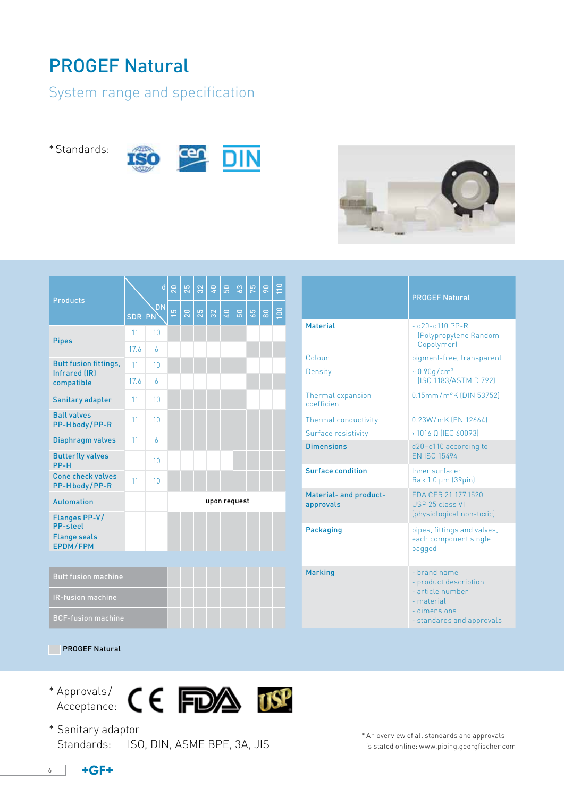# PROGEF Natural

## System range and specification

\*Standards:







|                                             |        | $\mathbf d$ | 20             | 25 | 32 | $\sqrt{4}$ | <b>Gd</b> | 63        | 75 | $\overline{90}$ | 110 |  |
|---------------------------------------------|--------|-------------|----------------|----|----|------------|-----------|-----------|----|-----------------|-----|--|
| <b>Products</b>                             | SDR PN | <b>DN</b>   | $\frac{51}{2}$ | 20 | 25 | 32         | Ĝ,        | <b>Gd</b> | 65 | $\approx$       | 100 |  |
| <b>Pipes</b>                                | 11     | 10          |                |    |    |            |           |           |    |                 |     |  |
|                                             | 17.6   | 6           |                |    |    |            |           |           |    |                 |     |  |
| <b>Butt fusion fittings,</b>                | 11     | 10          |                |    |    |            |           |           |    |                 |     |  |
| Infrared (IR)<br>compatible                 | 17.6   | 6           |                |    |    |            |           |           |    |                 |     |  |
| Sanitary adapter                            | 11     | 10          |                |    |    |            |           |           |    |                 |     |  |
| <b>Ball valves</b><br>PP-Hbody/PP-R         | 11     | 10          |                |    |    |            |           |           |    |                 |     |  |
| Diaphragm valves                            | 11     | 6           |                |    |    |            |           |           |    |                 |     |  |
| <b>Butterfly valves</b><br>PP-H             |        | 10          |                |    |    |            |           |           |    |                 |     |  |
| <b>Cone check valves</b><br>PP-Hbody/PP-R   | 11     | 10          |                |    |    |            |           |           |    |                 |     |  |
| <b>Automation</b>                           |        |             | upon request   |    |    |            |           |           |    |                 |     |  |
| <b>Flanges PP-V/</b><br><b>PP-steel</b>     |        |             |                |    |    |            |           |           |    |                 |     |  |
| <b>Flange seals</b><br><b>EPDM/FPM</b>      |        |             |                |    |    |            |           |           |    |                 |     |  |
|                                             |        |             |                |    |    |            |           |           |    |                 |     |  |
| <b>Butt fusion machine</b>                  |        |             |                |    |    |            |           |           |    |                 |     |  |
| and the state of the con-<br><b>College</b> |        |             |                |    |    |            |           |           |    |                 |     |  |

|                                     | <b>PROGEF Natural</b>                                                                                                |
|-------------------------------------|----------------------------------------------------------------------------------------------------------------------|
| <b>Material</b>                     | $- d20 - d110 PP - R$<br>(Polypropylene Random<br>Copolymer)                                                         |
| Colour                              | pigment-free, transparent                                                                                            |
| Density                             | $\sim 0.90$ g/cm <sup>3</sup><br>[ISO 1183/ASTM D 792]                                                               |
| Thermal expansion<br>coefficient    | 0.15mm/m°K (DIN 53752)                                                                                               |
| Thermal conductivity                | 0.23W/mK [FN 12664]                                                                                                  |
| Surface resistivity                 | $>1016$ Q (IEC 60093)                                                                                                |
| <b>Dimensions</b>                   | d20-d110 according to<br><b>FN ISO 15494</b>                                                                         |
| <b>Surface condition</b>            | Inner surface:<br>$Ra \leq 1.0 \mu m$ (39 $\mu$ in)                                                                  |
| Material- and product-<br>approvals | FDA CFR 21 177.1520<br>USP 25 class VI<br>(physiological non-toxic)                                                  |
| <b>Packaging</b>                    | pipes, fittings and valves,<br>each component single<br>bagged                                                       |
| <b>Marking</b>                      | - brand name<br>- product description<br>- article number<br>- material<br>- dimensions<br>- standards and approvals |

### **PROGEF Natural**

BCF-fusion machine

\* Approvals / Acceptance:



\* Sanitary adaptor Standards: ISO, DIN, ASME BPE, 3A, JIS

\* An overview of all standards and approvals is stated online: www.piping.georgfischer.com

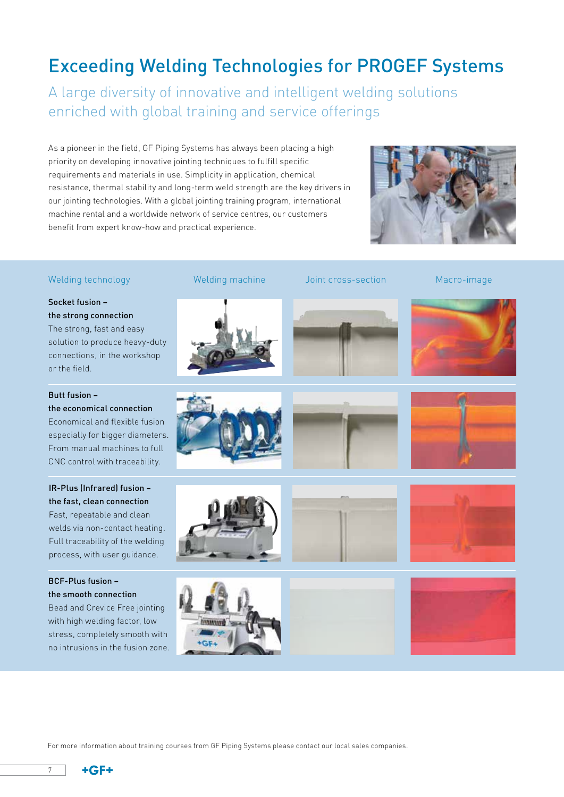# Exceeding Welding Technologies for PROGEF Systems

A large diversity of innovative and intelligent welding solutions enriched with global training and service offerings

As a pioneer in the field, GF Piping Systems has always been placing a high priority on developing innovative jointing techniques to fulfill specific requirements and materials in use. Simplicity in application, chemical resistance, thermal stability and long-term weld strength are the key drivers in our jointing technologies. With a global jointing training program, international machine rental and a worldwide network of service centres, our customers benefit from expert know-how and practical experience.



### Welding technology

Socket fusion – the strong connection The strong, fast and easy solution to produce heavy-duty connections, in the workshop or the field.

Butt fusion – the economical connection

Economical and flexible fusion especially for bigger diameters. From manual machines to full CNC control with traceability.

### IR-Plus (Infrared) fusion – the fast, clean connection

Fast, repeatable and clean welds via non-contact heating. Full traceability of the welding process, with user guidance.

### BCF-Plus fusion – the smooth connection

Bead and Crevice Free jointing with high welding factor, low stress, completely smooth with no intrusions in the fusion zone.





Welding machine and Joint cross-section and Macro-image









For more information about training courses from GF Piping Systems please contact our local sales companies.

GF

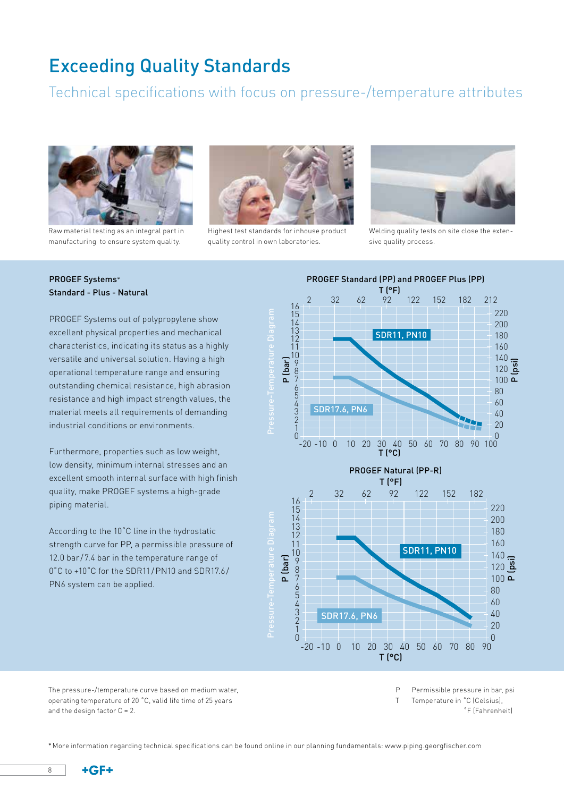## Exceeding Quality Standards

## Technical specifications with focus on pressure-/temperature attributes



Raw material testing as an integral part in manufacturing to ensure system quality.



Highest test standards for inhouse product quality control in own laboratories.



Welding quality tests on site close the extensive quality process.

### PROGEF Systems\* Standard - Plus - Natural

PROGEF Systems out of polypropylene show excellent physical properties and mechanical characteristics, indicating its status as a highly versatile and universal solution. Having a high operational temperature range and ensuring outstanding chemical resistance, high abrasion resistance and high impact strength values, the material meets all requirements of demanding industrial conditions or environments.

Furthermore, properties such as low weight, low density, minimum internal stresses and an excellent smooth internal surface with high finish quality, make PROGEF systems a high-grade piping material.

According to the 10˚C line in the hydrostatic strength curve for PP, a permissible pressure of 12.0 bar /7.4 bar in the temperature range of 0˚C to +10˚C for the SDR11/PN10 and SDR17.6/ PN6 system can be applied.



The pressure-/temperature curve based on medium water, operating temperature of 20 ˚C, valid life time of 25 years and the design factor  $C = 2$ .

P Permissible pressure in bar, psi

T Temperature in ˚C (Celsius),

˚F (Fahrenheit)

\*More information regarding technical specifications can be found online in our planning fundamentals: www.piping.georgfischer.com

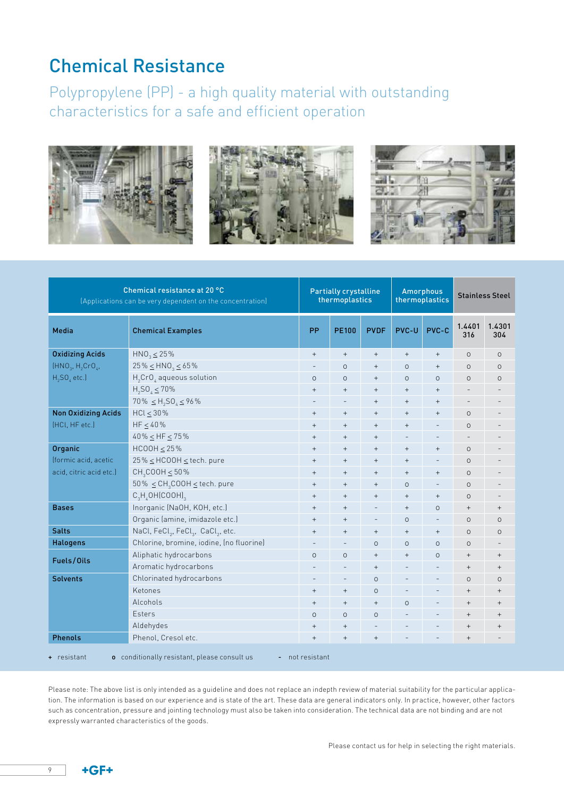# Chemical Resistance

Polypropylene (PP) - a high quality material with outstanding characteristics for a safe and efficient operation



| Chemical resistance at 20 °C<br>(Applications can be very dependent on the concentration) |                                                                        | <b>Partially crystalline</b><br>thermoplastics |                          |                   | <b>Amorphous</b><br>thermoplastics |                                  | <b>Stainless Steel</b>           |                          |
|-------------------------------------------------------------------------------------------|------------------------------------------------------------------------|------------------------------------------------|--------------------------|-------------------|------------------------------------|----------------------------------|----------------------------------|--------------------------|
| Media                                                                                     | <b>Chemical Examples</b>                                               | <b>PP</b>                                      | <b>PE100</b>             | <b>PVDF</b>       | PVC-U                              | PVC-C                            | 1.4401<br>316                    | 1.4301<br>304            |
| <b>Oxidizing Acids</b>                                                                    | $HNO_3 \leq 25\%$                                                      | $+$                                            | $+$                      | $^{+}$            | $+$                                | $+$                              | $\Omega$                         | $\circ$                  |
| $(HNO3, H2CrO4)$                                                                          | $25\% \leq HNO_3 \leq 65\%$                                            |                                                | $\circ$                  | $\qquad \qquad +$ | $\circ$                            | $^+$                             | $\circ$                          | $\circ$                  |
| $H_2SO_4$ etc.]                                                                           | $H_2CrO_4$ aqueous solution                                            | $\circ$                                        | $\Omega$                 | $^{+}$            | $\Omega$                           | $\circ$                          | $\circ$                          | $\circ$                  |
|                                                                                           | $H_2SO_4 \leq 70\%$                                                    | $+$                                            | $+$                      | $\qquad \qquad +$ | $+$                                | $\qquad \qquad +$                | $\overline{\phantom{0}}$         |                          |
|                                                                                           | $70\% \leq H_2SO_4 \leq 96\%$                                          |                                                | $\overline{\phantom{a}}$ | $+$               | $+$                                | $\qquad \qquad +$                | $\overline{\phantom{a}}$         |                          |
| <b>Non Oxidizing Acids</b>                                                                | $HCl \leq 30\%$                                                        | $^{+}$                                         | $+$                      | $^{+}$            | $^{+}$                             | $+$                              | $\Omega$                         |                          |
| (HCl, HF etc.)                                                                            | $HF \leq 40\%$                                                         | $+$                                            | $+$                      | $^{+}$            | $+$                                | $\overline{a}$                   | $\Omega$                         |                          |
|                                                                                           | $40\% \leq HF \leq 75\%$                                               | $+$                                            | $+$                      | $^{+}$            | $\overline{a}$                     | $\overline{\phantom{a}}$         |                                  |                          |
| Organic                                                                                   | $HCOOH \leq 25\%$                                                      | $^{+}$                                         | $+$                      | $^{+}$            | $+$                                | $\qquad \qquad +$                | $\circ$                          |                          |
| (formic acid, acetic                                                                      | $25\% \leq HCOOH \leq$ tech. pure                                      | $\qquad \qquad +$                              | $+$                      | $\qquad \qquad +$ | $+$                                | $\qquad \qquad -$                | $\Omega$                         |                          |
| acid, citric acid etc.)                                                                   | $CH_2COOH \leq 50\%$                                                   | $\qquad \qquad +$                              | $+$                      | $^{+}$            | $+$                                | $\qquad \qquad +$                | $\circ$                          |                          |
|                                                                                           | $50\% \leq \text{CH}_3 \text{COOH} \leq \text{tech}$ . pure            | $^{+}$                                         | $+$                      | $^{+}$            | $\Omega$                           | $\overline{\phantom{a}}$         | $\Omega$                         |                          |
|                                                                                           | $C_3H_4OH(COOH)_3$                                                     | $\qquad \qquad +$                              | $+$                      | $^{+}$            | $+$                                | $\qquad \qquad +$                | $\Omega$                         |                          |
| <b>Bases</b>                                                                              | Inorganic (NaOH, KOH, etc.)                                            | $^{+}$                                         | $+$                      | $\overline{a}$    | $+$                                | $\circ$                          | $+$                              | $\qquad \qquad +$        |
|                                                                                           | Organic (amine, imidazole etc.)                                        | $^{+}$                                         | $+$                      | $\qquad \qquad -$ | $\Omega$                           | $\qquad \qquad -$                | $\circ$                          | $\circ$                  |
| <b>Salts</b>                                                                              | NaCl, FeCl <sub>2</sub> , FeCl <sub>3</sub> , CaCl <sub>2</sub> , etc. | $^{+}$                                         | $+$                      | $^{+}$            | $+$                                | $\begin{array}{c} + \end{array}$ | $\Omega$                         | $\circ$                  |
| <b>Halogens</b>                                                                           | Chlorine, bromine, iodine, (no fluorine)                               |                                                | $\overline{\phantom{m}}$ | $\circ$           | $\Omega$                           | $\circ$                          | $\Omega$                         | $\overline{\phantom{m}}$ |
| Fuels/Oils                                                                                | Aliphatic hydrocarbons                                                 | $\circ$                                        | $\circ$                  | $^{+}$            | $+$                                | $\circ$                          | $^{+}$                           | $\qquad \qquad +$        |
|                                                                                           | Aromatic hydrocarbons                                                  |                                                |                          | $\qquad \qquad +$ | $\overline{a}$                     | $\qquad \qquad -$                | $+$                              | $\qquad \qquad +$        |
| <b>Solvents</b>                                                                           | Chlorinated hydrocarbons                                               |                                                | $\qquad \qquad -$        | $\circ$           |                                    | $\overline{a}$                   | $\Omega$                         | $\circ$                  |
|                                                                                           | Ketones                                                                | $^{+}$                                         | $+$                      | $\circ$           |                                    |                                  | $+$                              | $^{+}$                   |
|                                                                                           | Alcohols                                                               | $\qquad \qquad +$                              | $+$                      | $^{+}$            | $\circ$                            | $\overline{a}$                   | $\qquad \qquad +$                | $\qquad \qquad +$        |
|                                                                                           | <b>Fsters</b>                                                          | $\Omega$                                       | $\Omega$                 | $\Omega$          |                                    | $\qquad \qquad -$                | $+$                              | $\qquad \qquad +$        |
|                                                                                           | Aldehydes                                                              | $^{+}$                                         | $+$                      | $\overline{a}$    |                                    |                                  | $\begin{array}{c} + \end{array}$ | $\qquad \qquad +$        |
| <b>Phenols</b>                                                                            | Phenol, Cresol etc.                                                    | $\qquad \qquad +$                              | $+$                      | $^{+}$            |                                    |                                  | $\qquad \qquad +$                |                          |
| $+$ resistant                                                                             | o conditionally resistant, please consult us<br>н.                     | not resistant                                  |                          |                   |                                    |                                  |                                  |                          |

Please note: The above list is only intended as a guideline and does not replace an indepth review of material suitability for the particular application. The information is based on our experience and is state of the art. These data are general indicators only. In practice, however, other factors such as concentration, pressure and jointing technology must also be taken into consideration. The technical data are not binding and are not expressly warranted characteristics of the goods.

 $\overline{9}$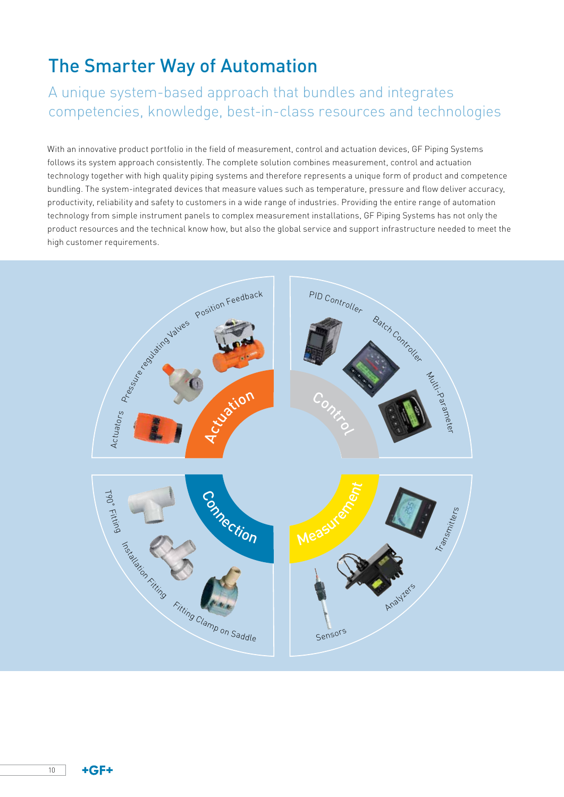# The Smarter Way of Automation

## A unique system-based approach that bundles and integrates competencies, knowledge, best-in-class resources and technologies

With an innovative product portfolio in the field of measurement, control and actuation devices, GF Piping Systems follows its system approach consistently. The complete solution combines measurement, control and actuation technology together with high quality piping systems and therefore represents a unique form of product and competence bundling. The system-integrated devices that measure values such as temperature, pressure and flow deliver accuracy, productivity, reliability and safety to customers in a wide range of industries. Providing the entire range of automation technology from simple instrument panels to complex measurement installations, GF Piping Systems has not only the product resources and the technical know how, but also the global service and support infrastructure needed to meet the high customer requirements.



 $+GF+$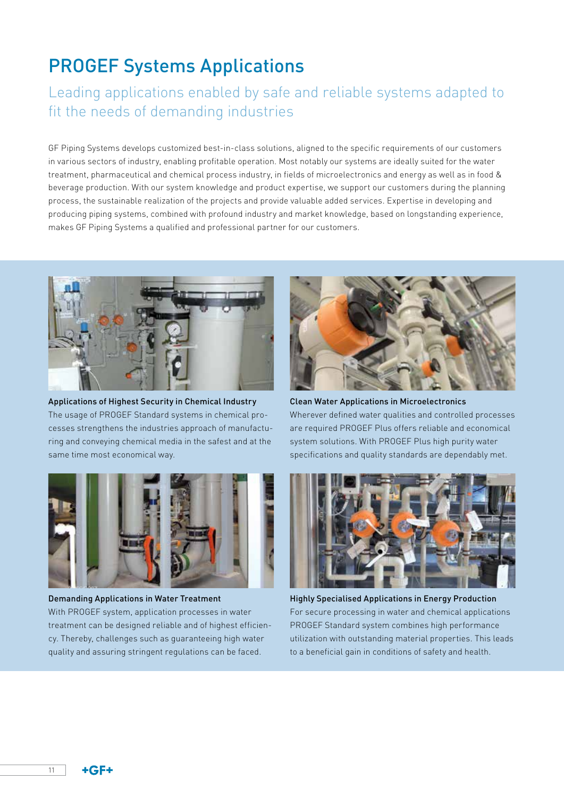# PROGEF Systems Applications

## Leading applications enabled by safe and reliable systems adapted to fit the needs of demanding industries

GF Piping Systems develops customized best-in-class solutions, aligned to the specific requirements of our customers in various sectors of industry, enabling profitable operation. Most notably our systems are ideally suited for the water treatment, pharmaceutical and chemical process industry, in fields of microelectronics and energy as well as in food & beverage production. With our system knowledge and product expertise, we support our customers during the planning process, the sustainable realization of the projects and provide valuable added services. Expertise in developing and producing piping systems, combined with profound industry and market knowledge, based on longstanding experience, makes GF Piping Systems a qualified and professional partner for our customers.



Applications of Highest Security in Chemical Industry The usage of PROGEF Standard systems in chemical processes strengthens the industries approach of manufacturing and conveying chemical media in the safest and at the same time most economical way.



Demanding Applications in Water Treatment

With PROGEF system, application processes in water treatment can be designed reliable and of highest efficiency. Thereby, challenges such as guaranteeing high water quality and assuring stringent regulations can be faced.



Clean Water Applications in Microelectronics Wherever defined water qualities and controlled processes are required PROGEF Plus offers reliable and economical system solutions. With PROGEF Plus high purity water specifications and quality standards are dependably met.



Highly Specialised Applications in Energy Production For secure processing in water and chemical applications PROGEF Standard system combines high performance utilization with outstanding material properties. This leads to a beneficial gain in conditions of safety and health.